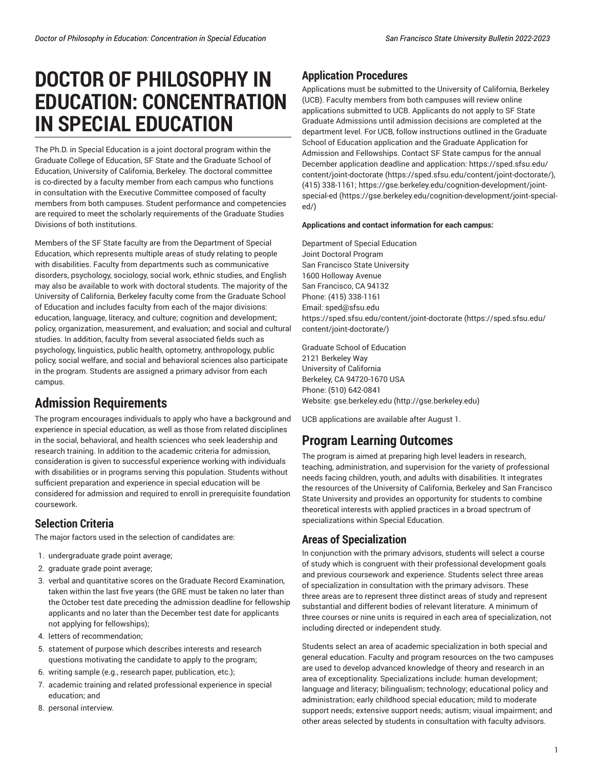# **DOCTOR OF PHILOSOPHY IN EDUCATION: CONCENTRATION IN SPECIAL EDUCATION**

The Ph.D. in Special Education is a joint doctoral program within the Graduate College of Education, SF State and the Graduate School of Education, University of California, Berkeley. The doctoral committee is co-directed by a faculty member from each campus who functions in consultation with the Executive Committee composed of faculty members from both campuses. Student performance and competencies are required to meet the scholarly requirements of the Graduate Studies Divisions of both institutions.

Members of the SF State faculty are from the Department of Special Education, which represents multiple areas of study relating to people with disabilities. Faculty from departments such as communicative disorders, psychology, sociology, social work, ethnic studies, and English may also be available to work with doctoral students. The majority of the University of California, Berkeley faculty come from the Graduate School of Education and includes faculty from each of the major divisions: education, language, literacy, and culture; cognition and development; policy, organization, measurement, and evaluation; and social and cultural studies. In addition, faculty from several associated fields such as psychology, linguistics, public health, optometry, anthropology, public policy, social welfare, and social and behavioral sciences also participate in the program. Students are assigned a primary advisor from each campus.

# **Admission Requirements**

The program encourages individuals to apply who have a background and experience in special education, as well as those from related disciplines in the social, behavioral, and health sciences who seek leadership and research training. In addition to the academic criteria for admission, consideration is given to successful experience working with individuals with disabilities or in programs serving this population. Students without sufficient preparation and experience in special education will be considered for admission and required to enroll in prerequisite foundation coursework.

# **Selection Criteria**

The major factors used in the selection of candidates are:

- 1. undergraduate grade point average;
- 2. graduate grade point average;
- 3. verbal and quantitative scores on the Graduate Record Examination, taken within the last five years (the GRE must be taken no later than the October test date preceding the admission deadline for fellowship applicants and no later than the December test date for applicants not applying for fellowships);
- 4. letters of recommendation;
- 5. statement of purpose which describes interests and research questions motivating the candidate to apply to the program;
- 6. writing sample (e.g., research paper, publication, etc.);
- 7. academic training and related professional experience in special education; and
- 8. personal interview.

## **Application Procedures**

Applications must be submitted to the University of California, Berkeley (UCB). Faculty members from both campuses will review online applications submitted to UCB. Applicants do not apply to SF State Graduate Admissions until admission decisions are completed at the department level. For UCB, follow instructions outlined in the Graduate School of Education application and the Graduate Application for Admission and Fellowships. Contact SF State campus for the annual December application deadline and application: [https://sped.sfsu.edu/](https://sped.sfsu.edu/content/joint-doctorate/) [content/joint-doctorate](https://sped.sfsu.edu/content/joint-doctorate/) (<https://sped.sfsu.edu/content/joint-doctorate/>), (415) 338-1161; [https://gse.berkeley.edu/cognition-development/joint](https://gse.berkeley.edu/cognition-development/joint-special-ed/)[special-ed](https://gse.berkeley.edu/cognition-development/joint-special-ed/) ([https://gse.berkeley.edu/cognition-development/joint-special](https://gse.berkeley.edu/cognition-development/joint-special-ed/)[ed/](https://gse.berkeley.edu/cognition-development/joint-special-ed/))

#### **Applications and contact information for each campus:**

Department of Special Education Joint Doctoral Program San Francisco State University 1600 Holloway Avenue San Francisco, CA 94132 Phone: (415) 338-1161 Email: [sped@sfsu.edu](mailto:sped@sfsu.edu) [https://sped.sfsu.edu/content/joint-doctorate \(https://sped.sfsu.edu/](https://sped.sfsu.edu/content/joint-doctorate/) [content/joint-doctorate/\)](https://sped.sfsu.edu/content/joint-doctorate/)

Graduate School of Education 2121 Berkeley Way University of California Berkeley, CA 94720-1670 USA Phone: (510) 642-0841 Website: [gse.berkeley.edu](http://gse.berkeley.edu) ([http://gse.berkeley.edu\)](http://gse.berkeley.edu)

UCB applications are available after August 1.

# **Program Learning Outcomes**

The program is aimed at preparing high level leaders in research, teaching, administration, and supervision for the variety of professional needs facing children, youth, and adults with disabilities. It integrates the resources of the University of California, Berkeley and San Francisco State University and provides an opportunity for students to combine theoretical interests with applied practices in a broad spectrum of specializations within Special Education.

### **Areas of Specialization**

In conjunction with the primary advisors, students will select a course of study which is congruent with their professional development goals and previous coursework and experience. Students select three areas of specialization in consultation with the primary advisors. These three areas are to represent three distinct areas of study and represent substantial and different bodies of relevant literature. A minimum of three courses or nine units is required in each area of specialization, not including directed or independent study.

Students select an area of academic specialization in both special and general education. Faculty and program resources on the two campuses are used to develop advanced knowledge of theory and research in an area of exceptionality. Specializations include: human development; language and literacy; bilingualism; technology; educational policy and administration; early childhood special education; mild to moderate support needs; extensive support needs; autism; visual impairment; and other areas selected by students in consultation with faculty advisors.